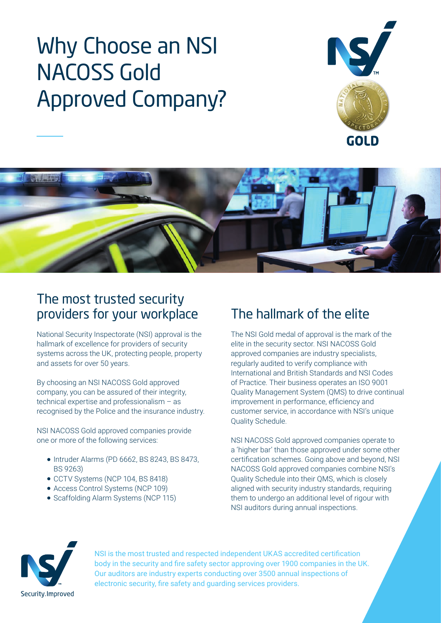# Why Choose an NSI NACOSS Gold Approved Company?





## The most trusted security providers for your workplace The hallmark of the elite

National Security Inspectorate (NSI) approval is the hallmark of excellence for providers of security systems across the UK, protecting people, property and assets for over 50 years.

By choosing an NSI NACOSS Gold approved company, you can be assured of their integrity, technical expertise and professionalism – as recognised by the Police and the insurance industry.

NSI NACOSS Gold approved companies provide one or more of the following services:

- $\bullet$  Intruder Alarms (PD 6662, BS 8243, BS 8473, BS 9263)
- CCTV Systems (NCP 104, BS 8418)
- Access Control Systems (NCP 109)
- Scaffolding Alarm Systems (NCP 115)

The NSI Gold medal of approval is the mark of the elite in the security sector. NSI NACOSS Gold approved companies are industry specialists, regularly audited to verify compliance with International and British Standards and NSI Codes of Practice. Their business operates an ISO 9001 Quality Management System (QMS) to drive continual improvement in performance, efficiency and customer service, in accordance with NSI's unique Quality Schedule.

NSI NACOSS Gold approved companies operate to a 'higher bar' than those approved under some other certification schemes. Going above and beyond, NSI NACOSS Gold approved companies combine NSI's Quality Schedule into their QMS, which is closely aligned with security industry standards, requiring them to undergo an additional level of rigour with NSI auditors during annual inspections.



NSI is the most trusted and respected independent UKAS accredited certification body in the security and fire safety sector approving over 1900 companies in the UK. Our auditors are industry experts conducting over 3500 annual inspections of electronic security, fire safety and guarding services providers.